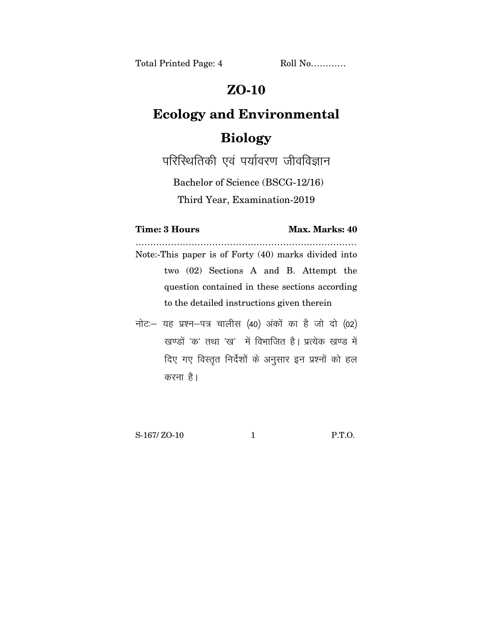## **ZO-10**

## **Ecology and Environmental Biology**

परिस्थितिकी एवं पर्यावरण जीवविज्ञान

Bachelor of Science (BSCG-12/16)

Third Year, Examination-2019

## **Time: 3 Hours Max. Marks: 40**

………………………………………………………………… Note:-This paper is of Forty (40) marks divided into two (02) Sections A and B. Attempt the question contained in these sections according to the detailed instructions given therein

 $\vec{n}$ ट: यह प्रश्न-पत्र चालीस (40) अंकों का है जो दो (02) खण्डों 'क' तथा 'ख' में विभाजित है। प्रत्येक खण्ड में दिए गए विस्तुत निर्देशों के अनुसार इन प्रश्नों को हल करना है।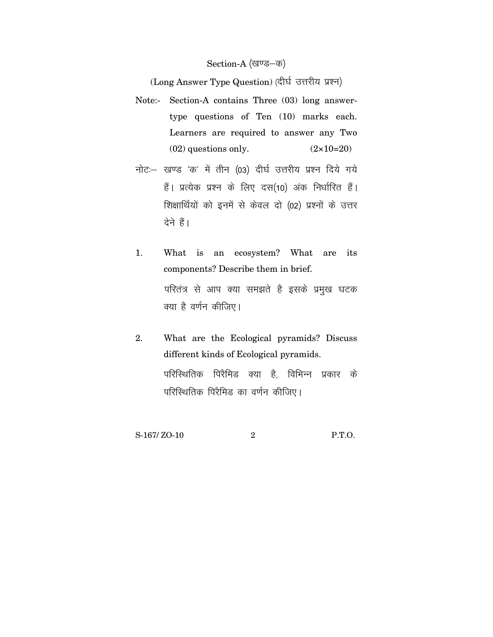## Section-A (खण्ड–क)

(Long Answer Type Question) (दीर्घ उत्तरीय प्रश्न)

- Note:- Section-A contains Three (03) long answertype questions of Ten (10) marks each. Learners are required to answer any Two  $(02)$  questions only.  $(2 \times 10=20)$
- नोट: खण्ड 'क' में तीन (03) दीर्घ उत्तरीय प्रश्न दिये गये हैं। प्रत्येक प्रश्न के लिए दस(10) अंक निर्धारित हैं। शिक्षार्थियों को इनमें से केवल दो (02) प्रश्नों के उत्तर देने हैं।
- 1. What is an ecosystem? What are its components? Describe them in brief. परितंत्र से आप क्या समझते है इसके प्रमुख घटक क्या है वर्णन कीजिए।
- 2. What are the Ecological pyramids? Discuss different kinds of Ecological pyramids. परिस्थितिक पिरैमिड क्या है<sup>,</sup> विभिन्न प्रकार के परिस्थितिक पिरैमिड का वर्णन कीजिए।

S-167/ ZO-10 2 P.T.O.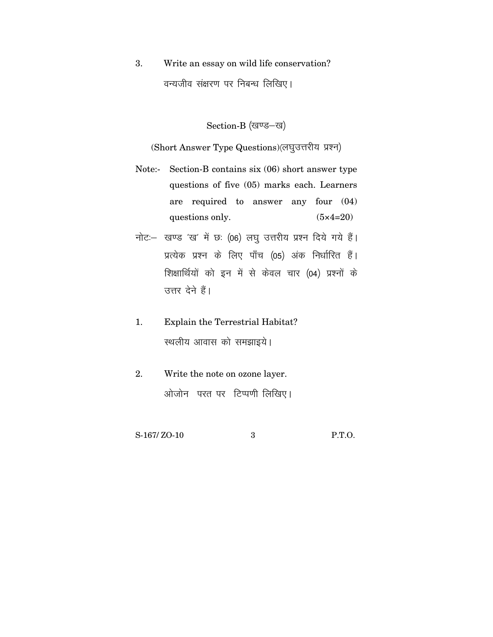Write an essay on wild life conservation?  $3.$ वन्यजीव संक्षरण पर निबन्ध लिखिए।

Section-B (खण्ड-ख)

(Short Answer Type Questions) (लघुउत्तरीय प्रश्न)

- Note:- Section-B contains six (06) short answer type questions of five (05) marks each. Learners required to answer any four  $(04)$ are questions only.  $(5 \times 4 = 20)$
- नोट :- खण्ड 'ख' में छः (06) लघु उत्तरीय प्रश्न दिये गये हैं। प्रत्येक प्रश्न के लिए पाँच (05) अंक निर्धारित हैं। शिक्षार्थियों को इन में से केवल चार (04) प्रश्नों के उत्तर देने हैं।
- Explain the Terrestrial Habitat?  $1.$ स्थलीय आवास को समझाइये।
- 2. Write the note on ozone layer. ओजोन परत पर टिप्पणी लिखिए।

S-167/ZO-10

 $\mathcal{S}$